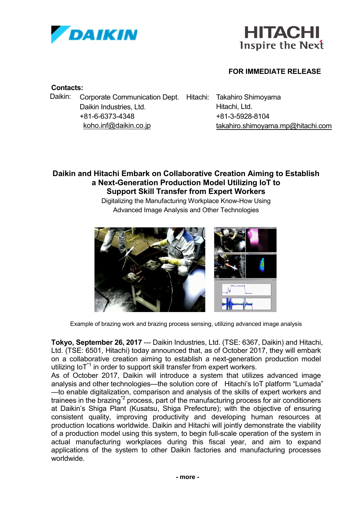



## **FOR IMMEDIATE RELEASE**

### **Contacts:**

Daikin: Corporate Communication Dept. Hitachi: Takahiro Shimoyama Daikin Industries, Ltd. Hitachi, Ltd. +81-6-6373-4348 koho.inf@daikin.co.jp

+81-3-5928-8104 takahiro.shimoyama.mp@hitachi.com

# **Daikin and Hitachi Embark on Collaborative Creation Aiming to Establish a Next-Generation Production Model Utilizing IoT to Support Skill Transfer from Expert Workers**

Digitalizing the Manufacturing Workplace Know-How Using Advanced Image Analysis and Other Technologies



Example of brazing work and brazing process sensing, utilizing advanced image analysis

**Tokyo, September 26, 2017** --- Daikin Industries, Ltd. (TSE: 6367, Daikin) and Hitachi, Ltd. (TSE: 6501, Hitachi) today announced that, as of October 2017, they will embark on a collaborative creation aiming to establish a next-generation production model utilizing  $10T<sup>1</sup>$  in order to support skill transfer from expert workers.

As of October 2017, Daikin will introduce a system that utilizes advanced image analysis and other technologies—the solution core of Hitachi's IoT platform "Lumada" —to enable digitalization, comparison and analysis of the skills of expert workers and trainees in the brazing<sup> $2$ </sup> process, part of the manufacturing process for air conditioners at Daikin's Shiga Plant (Kusatsu, Shiga Prefecture); with the objective of ensuring consistent quality, improving productivity and developing human resources at production locations worldwide. Daikin and Hitachi will jointly demonstrate the viability of a production model using this system, to begin full-scale operation of the system in actual manufacturing workplaces during this fiscal year, and aim to expand applications of the system to other Daikin factories and manufacturing processes worldwide.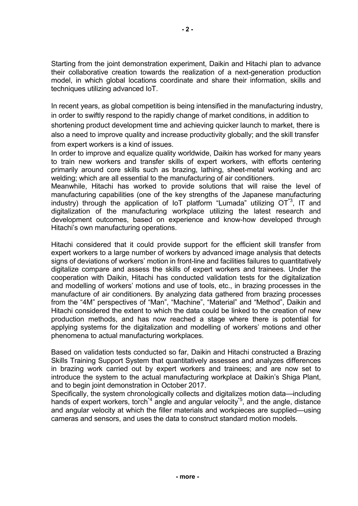Starting from the joint demonstration experiment, Daikin and Hitachi plan to advance their collaborative creation towards the realization of a next-generation production model, in which global locations coordinate and share their information, skills and techniques utilizing advanced IoT.

In recent years, as global competition is being intensified in the manufacturing industry, in order to swiftly respond to the rapidly change of market conditions, in addition to shortening product development time and achieving quicker launch to market, there is also a need to improve quality and increase productivity globally; and the skill transfer from expert workers is a kind of issues.

In order to improve and equalize quality worldwide, Daikin has worked for many years to train new workers and transfer skills of expert workers, with efforts centering primarily around core skills such as brazing, lathing, sheet-metal working and arc welding; which are all essential to the manufacturing of air conditioners.

Meanwhile, Hitachi has worked to provide solutions that will raise the level of manufacturing capabilities (one of the key strengths of the Japanese manufacturing industry) through the application of IoT platform "Lumada" utilizing  $OT^3$ , IT and digitalization of the manufacturing workplace utilizing the latest research and development outcomes, based on experience and know-how developed through Hitachi's own manufacturing operations.

Hitachi considered that it could provide support for the efficient skill transfer from expert workers to a large number of workers by advanced image analysis that detects signs of deviations of workers' motion in front-line and facilities failures to quantitatively digitalize compare and assess the skills of expert workers and trainees. Under the cooperation with Daikin, Hitachi has conducted validation tests for the digitalization and modelling of workers' motions and use of tools, etc., in brazing processes in the manufacture of air conditioners. By analyzing data gathered from brazing processes from the "4M" perspectives of "Man", "Machine", "Material" and "Method", Daikin and Hitachi considered the extent to which the data could be linked to the creation of new production methods, and has now reached a stage where there is potential for applying systems for the digitalization and modelling of workers' motions and other phenomena to actual manufacturing workplaces.

Based on validation tests conducted so far, Daikin and Hitachi constructed a Brazing Skills Training Support System that quantitatively assesses and analyzes differences in brazing work carried out by expert workers and trainees; and are now set to introduce the system to the actual manufacturing workplace at Daikin's Shiga Plant, and to begin joint demonstration in October 2017.

Specifically, the system chronologically collects and digitalizes motion data—including hands of expert workers, torch<sup>\*4</sup> angle and angular velocity<sup>\*5</sup>, and the angle, distance and angular velocity at which the filler materials and workpieces are supplied—using cameras and sensors, and uses the data to construct standard motion models.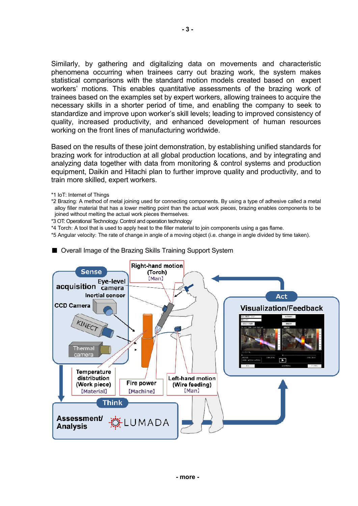Similarly, by gathering and digitalizing data on movements and characteristic phenomena occurring when trainees carry out brazing work, the system makes statistical comparisons with the standard motion models created based on expert workers' motions. This enables quantitative assessments of the brazing work of trainees based on the examples set by expert workers, allowing trainees to acquire the necessary skills in a shorter period of time, and enabling the company to seek to standardize and improve upon worker's skill levels; leading to improved consistency of quality, increased productivity, and enhanced development of human resources working on the front lines of manufacturing worldwide.

Based on the results of these joint demonstration, by establishing unified standards for brazing work for introduction at all global production locations, and by integrating and analyzing data together with data from monitoring & control systems and production equipment, Daikin and Hitachi plan to further improve quality and productivity, and to train more skilled, expert workers.

- \*1 IoT: Internet of Things
- \*2 Brazing: A method of metal joining used for connecting components. By using a type of adhesive called a metal alloy filler material that has a lower melting point than the actual work pieces, brazing enables components to be joined without melting the actual work pieces themselves.
- \*3 OT: Operational Technology. Control and operation technology
- \*4 Torch: A tool that is used to apply heat to the filler material to join components using a gas flame.
- \*5 Angular velocity: The rate of change in angle of a moving object (i.e. change in angle divided by time taken).



■ Overall Image of the Brazing Skills Training Support System